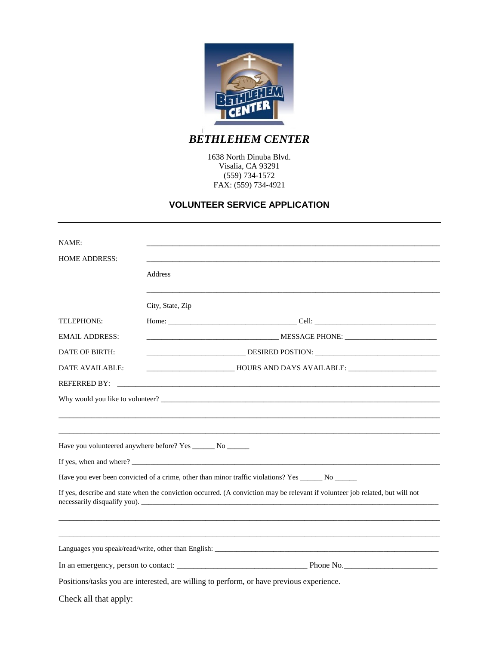

*BETHLEHEM CENTER*

1638 North Dinuba Blvd. Visalia, CA 93291 (559) 734-1572 FAX: (559) 734-4921

#### **VOLUNTEER SERVICE APPLICATION**

| NAME:                                                                                                                         |                                                                                                      |  |  |  |  |  |  |  |
|-------------------------------------------------------------------------------------------------------------------------------|------------------------------------------------------------------------------------------------------|--|--|--|--|--|--|--|
| <b>HOME ADDRESS:</b>                                                                                                          |                                                                                                      |  |  |  |  |  |  |  |
|                                                                                                                               | Address                                                                                              |  |  |  |  |  |  |  |
|                                                                                                                               | City, State, Zip                                                                                     |  |  |  |  |  |  |  |
| <b>TELEPHONE:</b>                                                                                                             |                                                                                                      |  |  |  |  |  |  |  |
| <b>EMAIL ADDRESS:</b>                                                                                                         | MESSAGE PHONE:                                                                                       |  |  |  |  |  |  |  |
| DATE OF BIRTH:                                                                                                                | _____________________________________DESIRED POSTION: ___________________________                    |  |  |  |  |  |  |  |
| <b>DATE AVAILABLE:</b>                                                                                                        |                                                                                                      |  |  |  |  |  |  |  |
| <b>REFERRED BY:</b>                                                                                                           | <u> 1980 - Jan James James Barnett, martin de filosofoar (h. 1980).</u>                              |  |  |  |  |  |  |  |
| Why would you like to volunteer?                                                                                              |                                                                                                      |  |  |  |  |  |  |  |
|                                                                                                                               |                                                                                                      |  |  |  |  |  |  |  |
|                                                                                                                               | ,我们也不能在这里的时候,我们也不能在这里的时候,我们也不能会在这里的时候,我们也不能会在这里的时候,我们也不能会在这里的时候,我们也不能会在这里的时候,我们也                     |  |  |  |  |  |  |  |
|                                                                                                                               | Have you volunteered anywhere before? Yes _______ No _______                                         |  |  |  |  |  |  |  |
|                                                                                                                               |                                                                                                      |  |  |  |  |  |  |  |
|                                                                                                                               | Have you ever been convicted of a crime, other than minor traffic violations? Yes ________ No ______ |  |  |  |  |  |  |  |
| If yes, describe and state when the conviction occurred. (A conviction may be relevant if volunteer job related, but will not |                                                                                                      |  |  |  |  |  |  |  |
|                                                                                                                               |                                                                                                      |  |  |  |  |  |  |  |
|                                                                                                                               |                                                                                                      |  |  |  |  |  |  |  |
|                                                                                                                               |                                                                                                      |  |  |  |  |  |  |  |
| Positions/tasks you are interested, are willing to perform, or have previous experience.                                      |                                                                                                      |  |  |  |  |  |  |  |
| Check all that apply:                                                                                                         |                                                                                                      |  |  |  |  |  |  |  |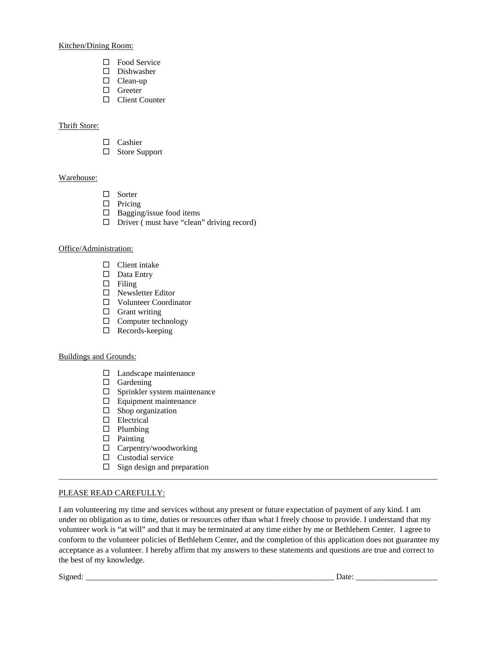Kitchen/Dining Room:

- □ Food Service
- $\square$  Dishwasher
- □ Clean-up
- □ Greeter
- □ Client Counter

#### Thrift Store:

- $\Box$  Cashier
- □ Store Support

#### Warehouse:

- □ Sorter
- $\Box$  Pricing
- $\Box$  Bagging/issue food items
- $\Box$  Driver (must have "clean" driving record)

#### Office/Administration:

- $\Box$  Client intake
- Data Entry
- $\Box$  Filing
- □ Newsletter Editor
- Volunteer Coordinator
- $\Box$  Grant writing
- $\Box$  Computer technology
- □ Records-keeping

#### Buildings and Grounds:

- $\Box$  Landscape maintenance
- $\Box$  Gardening
- $\square$  Sprinkler system maintenance
- $\Box$  Equipment maintenance
- $\Box$  Shop organization
- □ Electrical
- $\square$  Plumbing
- $\Box$  Painting
- Carpentry/woodworking
- $\square$  Custodial service
- $\Box$  Sign design and preparation

#### PLEASE READ CAREFULLY:

I am volunteering my time and services without any present or future expectation of payment of any kind. I am under no obligation as to time, duties or resources other than what I freely choose to provide. I understand that my volunteer work is "at will" and that it may be terminated at any time either by me or Bethlehem Center. I agree to conform to the volunteer policies of Bethlehem Center, and the completion of this application does not guarantee my acceptance as a volunteer. I hereby affirm that my answers to these statements and questions are true and correct to the best of my knowledge.

\_\_\_\_\_\_\_\_\_\_\_\_\_\_\_\_\_\_\_\_\_\_\_\_\_\_\_\_\_\_\_\_\_\_\_\_\_\_\_\_\_\_\_\_\_\_\_\_\_\_\_\_\_\_\_\_\_\_\_\_\_\_\_\_\_\_\_\_\_\_\_\_\_\_\_\_\_\_\_\_\_\_\_\_\_\_\_\_\_\_\_\_\_

Signed: \_\_\_\_\_\_\_\_\_\_\_\_\_\_\_\_\_\_\_\_\_\_\_\_\_\_\_\_\_\_\_\_\_\_\_\_\_\_\_\_\_\_\_\_\_\_\_\_\_\_\_\_\_\_\_\_\_\_\_\_\_ Date: \_\_\_\_\_\_\_\_\_\_\_\_\_\_\_\_\_\_\_\_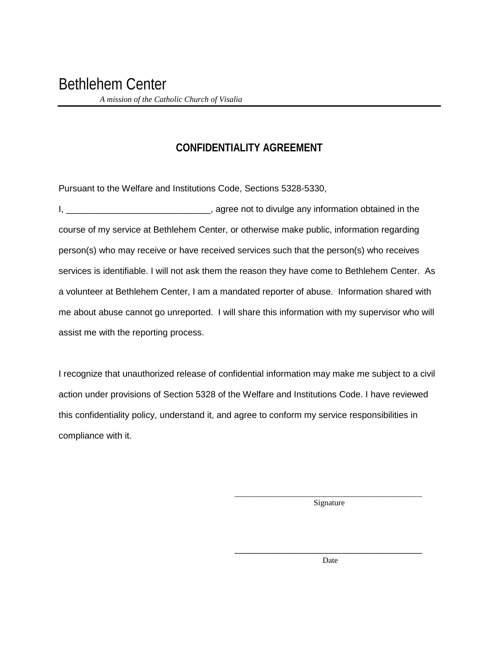### **CONFIDENTIALITY AGREEMENT**

Pursuant to the Welfare and Institutions Code, Sections 5328-5330,

I, \_\_\_\_\_\_\_\_\_\_\_\_\_\_\_\_\_\_\_\_\_\_\_\_\_\_\_\_\_\_\_\_, agree not to divulge any information obtained in the course of my service at Bethlehem Center, or otherwise make public, information regarding person(s) who may receive or have received services such that the person(s) who receives services is identifiable. I will not ask them the reason they have come to Bethlehem Center. As a volunteer at Bethlehem Center, I am a mandated reporter of abuse. Information shared with me about abuse cannot go unreported. I will share this information with my supervisor who will assist me with the reporting process.

I recognize that unauthorized release of confidential information may make me subject to a civil action under provisions of Section 5328 of the Welfare and Institutions Code. I have reviewed this confidentiality policy, understand it, and agree to conform my service responsibilities in compliance with it.

> \_\_\_\_\_\_\_\_\_\_\_\_\_\_\_\_\_\_\_\_\_\_\_\_\_\_\_\_\_\_\_\_\_\_\_\_\_\_\_\_\_\_\_\_\_\_ Signature

> \_\_\_\_\_\_\_\_\_\_\_\_\_\_\_\_\_\_\_\_\_\_\_\_\_\_\_\_\_\_\_\_\_\_\_\_\_\_\_\_\_\_ Date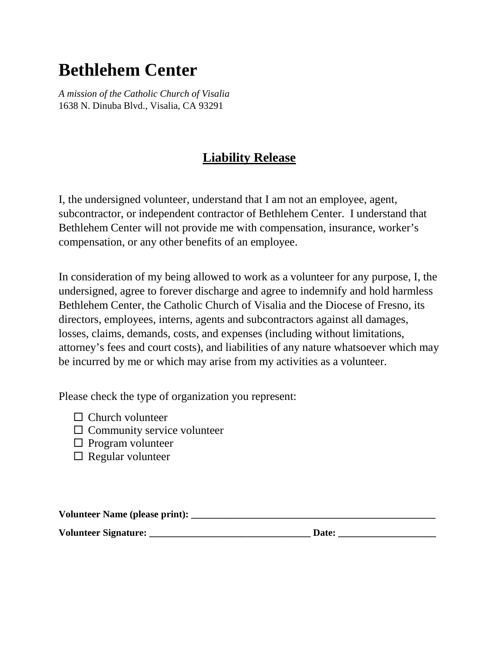# **Bethlehem Center**

*A mission of the Catholic Church of Visalia* 1638 N. Dinuba Blvd., Visalia, CA 93291

## **Liability Release**

I, the undersigned volunteer, understand that I am not an employee, agent, subcontractor, or independent contractor of Bethlehem Center. I understand that Bethlehem Center will not provide me with compensation, insurance, worker's compensation, or any other benefits of an employee.

In consideration of my being allowed to work as a volunteer for any purpose, I, the undersigned, agree to forever discharge and agree to indemnify and hold harmless Bethlehem Center, the Catholic Church of Visalia and the Diocese of Fresno, its directors, employees, interns, agents and subcontractors against all damages, losses, claims, demands, costs, and expenses (including without limitations, attorney's fees and court costs), and liabilities of any nature whatsoever which may be incurred by me or which may arise from my activities as a volunteer.

Please check the type of organization you represent:

- $\Box$  Church volunteer
- $\Box$  Community service volunteer
- $\Box$  Program volunteer
- $\Box$  Regular volunteer

**Volunteer Name (please print): \_\_\_\_\_\_\_\_\_\_\_\_\_\_\_\_\_\_\_\_\_\_\_\_\_\_\_\_\_\_\_\_\_\_\_\_\_\_\_\_\_\_\_\_\_\_\_\_\_\_ Volunteer Signature: \_\_\_\_\_\_\_\_\_\_\_\_\_\_\_\_\_\_\_\_\_\_\_\_\_\_\_\_\_\_\_\_\_ Date: \_\_\_\_\_\_\_\_\_\_\_\_\_\_\_\_\_\_\_\_**